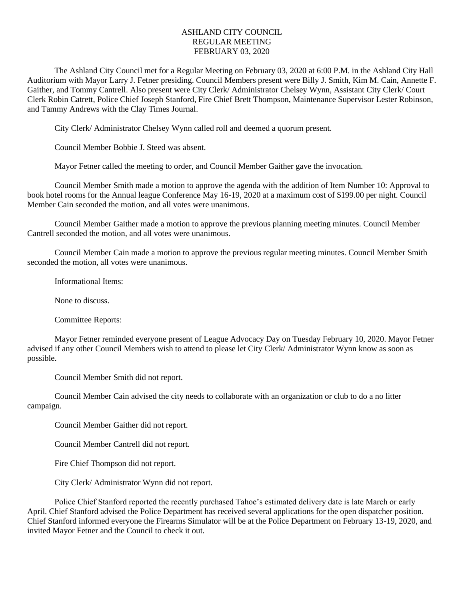## ASHLAND CITY COUNCIL REGULAR MEETING FEBRUARY 03, 2020

The Ashland City Council met for a Regular Meeting on February 03, 2020 at 6:00 P.M. in the Ashland City Hall Auditorium with Mayor Larry J. Fetner presiding. Council Members present were Billy J. Smith, Kim M. Cain, Annette F. Gaither, and Tommy Cantrell. Also present were City Clerk/ Administrator Chelsey Wynn, Assistant City Clerk/ Court Clerk Robin Catrett, Police Chief Joseph Stanford, Fire Chief Brett Thompson, Maintenance Supervisor Lester Robinson, and Tammy Andrews with the Clay Times Journal.

City Clerk/ Administrator Chelsey Wynn called roll and deemed a quorum present.

Council Member Bobbie J. Steed was absent.

Mayor Fetner called the meeting to order, and Council Member Gaither gave the invocation.

Council Member Smith made a motion to approve the agenda with the addition of Item Number 10: Approval to book hotel rooms for the Annual league Conference May 16-19, 2020 at a maximum cost of \$199.00 per night. Council Member Cain seconded the motion, and all votes were unanimous.

Council Member Gaither made a motion to approve the previous planning meeting minutes. Council Member Cantrell seconded the motion, and all votes were unanimous.

Council Member Cain made a motion to approve the previous regular meeting minutes. Council Member Smith seconded the motion, all votes were unanimous.

Informational Items:

None to discuss.

Committee Reports:

Mayor Fetner reminded everyone present of League Advocacy Day on Tuesday February 10, 2020. Mayor Fetner advised if any other Council Members wish to attend to please let City Clerk/ Administrator Wynn know as soon as possible.

Council Member Smith did not report.

Council Member Cain advised the city needs to collaborate with an organization or club to do a no litter campaign.

Council Member Gaither did not report.

Council Member Cantrell did not report.

Fire Chief Thompson did not report.

City Clerk/ Administrator Wynn did not report.

Police Chief Stanford reported the recently purchased Tahoe's estimated delivery date is late March or early April. Chief Stanford advised the Police Department has received several applications for the open dispatcher position. Chief Stanford informed everyone the Firearms Simulator will be at the Police Department on February 13-19, 2020, and invited Mayor Fetner and the Council to check it out.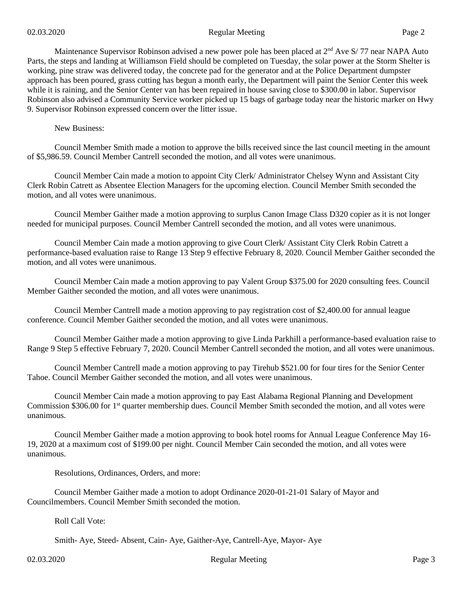Maintenance Supervisor Robinson advised a new power pole has been placed at 2<sup>nd</sup> Ave S/77 near NAPA Auto Parts, the steps and landing at Williamson Field should be completed on Tuesday, the solar power at the Storm Shelter is working, pine straw was delivered today, the concrete pad for the generator and at the Police Department dumpster approach has been poured, grass cutting has begun a month early, the Department will paint the Senior Center this week while it is raining, and the Senior Center van has been repaired in house saving close to \$300.00 in labor. Supervisor Robinson also advised a Community Service worker picked up 15 bags of garbage today near the historic marker on Hwy 9. Supervisor Robinson expressed concern over the litter issue.

New Business:

Council Member Smith made a motion to approve the bills received since the last council meeting in the amount of \$5,986.59. Council Member Cantrell seconded the motion, and all votes were unanimous.

Council Member Cain made a motion to appoint City Clerk/ Administrator Chelsey Wynn and Assistant City Clerk Robin Catrett as Absentee Election Managers for the upcoming election. Council Member Smith seconded the motion, and all votes were unanimous.

Council Member Gaither made a motion approving to surplus Canon Image Class D320 copier as it is not longer needed for municipal purposes. Council Member Cantrell seconded the motion, and all votes were unanimous.

Council Member Cain made a motion approving to give Court Clerk/ Assistant City Clerk Robin Catrett a performance-based evaluation raise to Range 13 Step 9 effective February 8, 2020. Council Member Gaither seconded the motion, and all votes were unanimous.

Council Member Cain made a motion approving to pay Valent Group \$375.00 for 2020 consulting fees. Council Member Gaither seconded the motion, and all votes were unanimous.

Council Member Cantrell made a motion approving to pay registration cost of \$2,400.00 for annual league conference. Council Member Gaither seconded the motion, and all votes were unanimous.

Council Member Gaither made a motion approving to give Linda Parkhill a performance-based evaluation raise to Range 9 Step 5 effective February 7, 2020. Council Member Cantrell seconded the motion, and all votes were unanimous.

Council Member Cantrell made a motion approving to pay Tirehub \$521.00 for four tires for the Senior Center Tahoe. Council Member Gaither seconded the motion, and all votes were unanimous.

Council Member Cain made a motion approving to pay East Alabama Regional Planning and Development Commission \$306.00 for 1<sup>st</sup> quarter membership dues. Council Member Smith seconded the motion, and all votes were unanimous.

Council Member Gaither made a motion approving to book hotel rooms for Annual League Conference May 16- 19, 2020 at a maximum cost of \$199.00 per night. Council Member Cain seconded the motion, and all votes were unanimous.

Resolutions, Ordinances, Orders, and more:

Council Member Gaither made a motion to adopt Ordinance 2020-01-21-01 Salary of Mayor and Councilmembers. Council Member Smith seconded the motion.

Roll Call Vote:

Smith- Aye, Steed- Absent, Cain- Aye, Gaither-Aye, Cantrell-Aye, Mayor- Aye